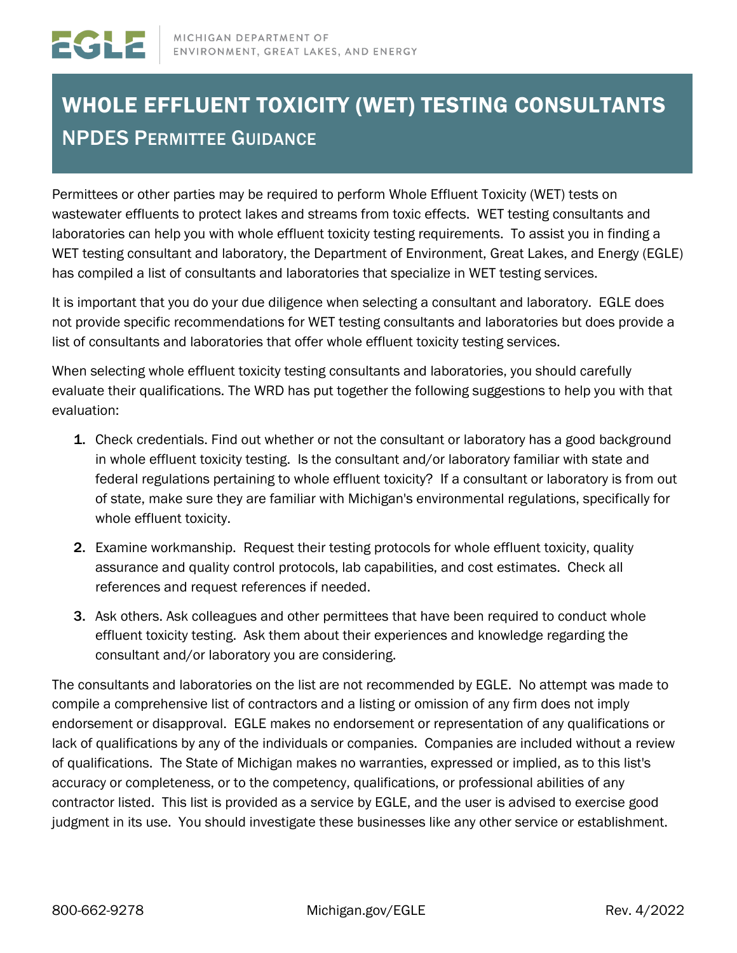# WHOLE EFFLUENT TOXICITY (WET) TESTING CONSULTANTS NPDES PERMITTEE GUIDANCE

Permittees or other parties may be required to perform Whole Effluent Toxicity (WET) tests on wastewater effluents to protect lakes and streams from toxic effects. WET testing consultants and laboratories can help you with whole effluent toxicity testing requirements. To assist you in finding a WET testing consultant and laboratory, the Department of Environment, Great Lakes, and Energy (EGLE) has compiled a list of consultants and laboratories that specialize in WET testing services.

It is important that you do your due diligence when selecting a consultant and laboratory. EGLE does not provide specific recommendations for WET testing consultants and laboratories but does provide a list of consultants and laboratories that offer whole effluent toxicity testing services.

When selecting whole effluent toxicity testing consultants and laboratories, you should carefully evaluate their qualifications. The WRD has put together the following suggestions to help you with that evaluation:

- 1. Check credentials. Find out whether or not the consultant or laboratory has a good background in whole effluent toxicity testing. Is the consultant and/or laboratory familiar with state and federal regulations pertaining to whole effluent toxicity? If a consultant or laboratory is from out of state, make sure they are familiar with Michigan's environmental regulations, specifically for whole effluent toxicity.
- 2. Examine workmanship. Request their testing protocols for whole effluent toxicity, quality assurance and quality control protocols, lab capabilities, and cost estimates. Check all references and request references if needed.
- 3. Ask others. Ask colleagues and other permittees that have been required to conduct whole effluent toxicity testing. Ask them about their experiences and knowledge regarding the consultant and/or laboratory you are considering.

The consultants and laboratories on the list are not recommended by EGLE. No attempt was made to compile a comprehensive list of contractors and a listing or omission of any firm does not imply endorsement or disapproval. EGLE makes no endorsement or representation of any qualifications or lack of qualifications by any of the individuals or companies. Companies are included without a review of qualifications. The State of Michigan makes no warranties, expressed or implied, as to this list's accuracy or completeness, or to the competency, qualifications, or professional abilities of any contractor listed. This list is provided as a service by EGLE, and the user is advised to exercise good judgment in its use. You should investigate these businesses like any other service or establishment.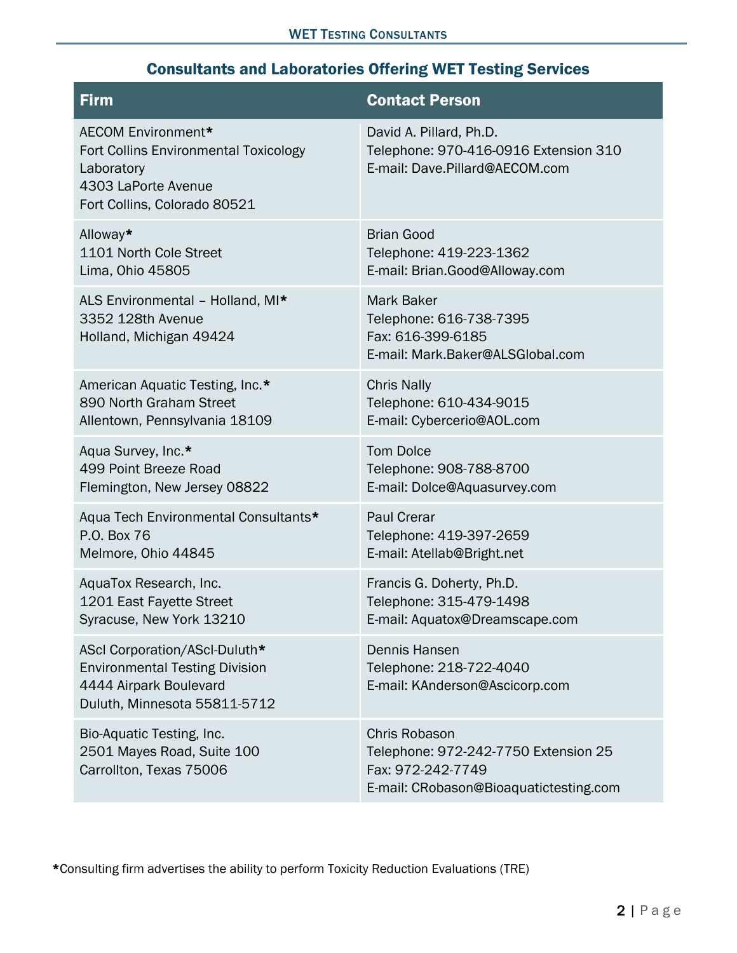## Consultants and Laboratories Offering WET Testing Services

| <b>Firm</b>                                                                                                                             | <b>Contact Person</b>                                                                                                       |
|-----------------------------------------------------------------------------------------------------------------------------------------|-----------------------------------------------------------------------------------------------------------------------------|
| AECOM Environment*<br><b>Fort Collins Environmental Toxicology</b><br>Laboratory<br>4303 LaPorte Avenue<br>Fort Collins, Colorado 80521 | David A. Pillard, Ph.D.<br>Telephone: 970-416-0916 Extension 310<br>E-mail: Dave.Pillard@AECOM.com                          |
| Alloway*                                                                                                                                | <b>Brian Good</b>                                                                                                           |
| 1101 North Cole Street                                                                                                                  | Telephone: 419-223-1362                                                                                                     |
| Lima, Ohio 45805                                                                                                                        | E-mail: Brian.Good@Alloway.com                                                                                              |
| ALS Environmental - Holland, MI*<br>3352 128th Avenue<br>Holland, Michigan 49424                                                        | <b>Mark Baker</b><br>Telephone: 616-738-7395<br>Fax: 616-399-6185<br>E-mail: Mark.Baker@ALSGlobal.com                       |
| American Aquatic Testing, Inc.*                                                                                                         | <b>Chris Nally</b>                                                                                                          |
| 890 North Graham Street                                                                                                                 | Telephone: 610-434-9015                                                                                                     |
| Allentown, Pennsylvania 18109                                                                                                           | E-mail: Cybercerio@AOL.com                                                                                                  |
| Aqua Survey, Inc.*                                                                                                                      | <b>Tom Dolce</b>                                                                                                            |
| 499 Point Breeze Road                                                                                                                   | Telephone: 908-788-8700                                                                                                     |
| Flemington, New Jersey 08822                                                                                                            | E-mail: Dolce@Aquasurvey.com                                                                                                |
| Aqua Tech Environmental Consultants*                                                                                                    | <b>Paul Crerar</b>                                                                                                          |
| P.O. Box 76                                                                                                                             | Telephone: 419-397-2659                                                                                                     |
| Melmore, Ohio 44845                                                                                                                     | E-mail: Atellab@Bright.net                                                                                                  |
| AquaTox Research, Inc.                                                                                                                  | Francis G. Doherty, Ph.D.                                                                                                   |
| 1201 East Fayette Street                                                                                                                | Telephone: 315-479-1498                                                                                                     |
| Syracuse, New York 13210                                                                                                                | E-mail: Aquatox@Dreamscape.com                                                                                              |
| AScl Corporation/AScl-Duluth*<br><b>Environmental Testing Division</b><br>4444 Airpark Boulevard<br>Duluth, Minnesota 55811-5712        | Dennis Hansen<br>Telephone: 218-722-4040<br>E-mail: KAnderson@Ascicorp.com                                                  |
| Bio-Aquatic Testing, Inc.<br>2501 Mayes Road, Suite 100<br>Carrollton, Texas 75006                                                      | <b>Chris Robason</b><br>Telephone: 972-242-7750 Extension 25<br>Fax: 972-242-7749<br>E-mail: CRobason@Bioaquatictesting.com |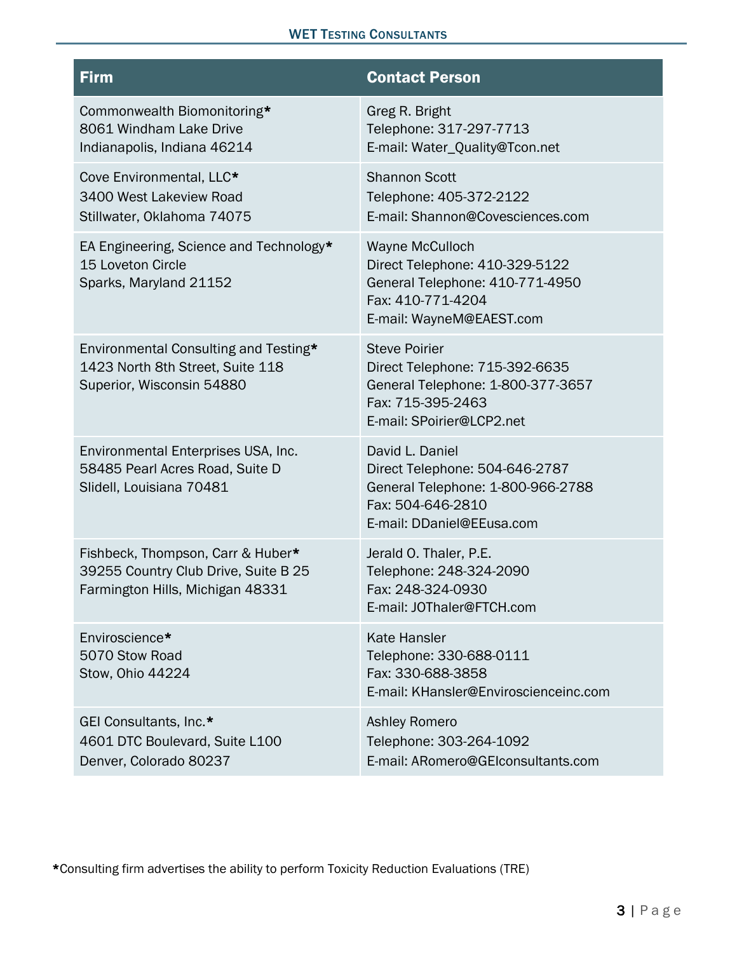### WET TESTING CONSULTANTS

| <b>Firm</b>                                                                                                   | <b>Contact Person</b>                                                                                                                         |
|---------------------------------------------------------------------------------------------------------------|-----------------------------------------------------------------------------------------------------------------------------------------------|
| Commonwealth Biomonitoring*<br>8061 Windham Lake Drive<br>Indianapolis, Indiana 46214                         | Greg R. Bright<br>Telephone: 317-297-7713<br>E-mail: Water_Quality@Tcon.net                                                                   |
| Cove Environmental, LLC*<br>3400 West Lakeview Road<br>Stillwater, Oklahoma 74075                             | <b>Shannon Scott</b><br>Telephone: 405-372-2122<br>E-mail: Shannon@Covesciences.com                                                           |
| EA Engineering, Science and Technology*<br>15 Loveton Circle<br>Sparks, Maryland 21152                        | Wayne McCulloch<br>Direct Telephone: 410-329-5122<br>General Telephone: 410-771-4950<br>Fax: 410-771-4204<br>E-mail: WayneM@EAEST.com         |
| Environmental Consulting and Testing*<br>1423 North 8th Street, Suite 118<br>Superior, Wisconsin 54880        | <b>Steve Poirier</b><br>Direct Telephone: 715-392-6635<br>General Telephone: 1-800-377-3657<br>Fax: 715-395-2463<br>E-mail: SPoirier@LCP2.net |
| Environmental Enterprises USA, Inc.<br>58485 Pearl Acres Road, Suite D<br>Slidell, Louisiana 70481            | David L. Daniel<br>Direct Telephone: 504-646-2787<br>General Telephone: 1-800-966-2788<br>Fax: 504-646-2810<br>E-mail: DDaniel@EEusa.com      |
| Fishbeck, Thompson, Carr & Huber*<br>39255 Country Club Drive, Suite B 25<br>Farmington Hills, Michigan 48331 | Jerald O. Thaler, P.E.<br>Telephone: 248-324-2090<br>Fax: 248-324-0930<br>E-mail: JOThaler@FTCH.com                                           |
| Enviroscience*<br>5070 Stow Road<br>Stow, Ohio 44224                                                          | <b>Kate Hansler</b><br>Telephone: 330-688-0111<br>Fax: 330-688-3858<br>E-mail: KHansler@Enviroscienceinc.com                                  |
| GEI Consultants, Inc.*<br>4601 DTC Boulevard, Suite L100<br>Denver, Colorado 80237                            | <b>Ashley Romero</b><br>Telephone: 303-264-1092<br>E-mail: ARomero@GEIconsultants.com                                                         |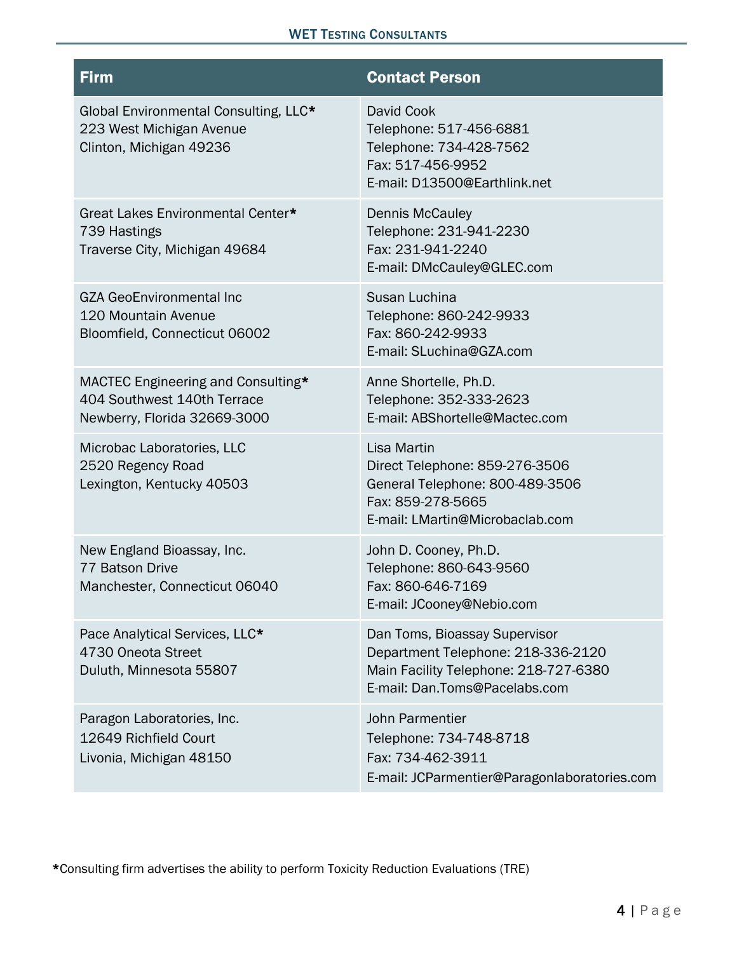### WET TESTING CONSULTANTS

| <b>Firm</b>                                                                                       | <b>Contact Person</b>                                                                                                                         |
|---------------------------------------------------------------------------------------------------|-----------------------------------------------------------------------------------------------------------------------------------------------|
| Global Environmental Consulting, LLC*<br>223 West Michigan Avenue<br>Clinton, Michigan 49236      | David Cook<br>Telephone: 517-456-6881<br>Telephone: 734-428-7562<br>Fax: 517-456-9952<br>E-mail: D13500@Earthlink.net                         |
| Great Lakes Environmental Center*<br>739 Hastings<br>Traverse City, Michigan 49684                | <b>Dennis McCauley</b><br>Telephone: 231-941-2230<br>Fax: 231-941-2240<br>E-mail: DMcCauley@GLEC.com                                          |
| <b>GZA GeoEnvironmental Inc</b><br>120 Mountain Avenue<br>Bloomfield, Connecticut 06002           | Susan Luchina<br>Telephone: 860-242-9933<br>Fax: 860-242-9933<br>E-mail: SLuchina@GZA.com                                                     |
| MACTEC Engineering and Consulting*<br>404 Southwest 140th Terrace<br>Newberry, Florida 32669-3000 | Anne Shortelle, Ph.D.<br>Telephone: 352-333-2623<br>E-mail: ABShortelle@Mactec.com                                                            |
| Microbac Laboratories, LLC<br>2520 Regency Road<br>Lexington, Kentucky 40503                      | Lisa Martin<br>Direct Telephone: 859-276-3506<br>General Telephone: 800-489-3506<br>Fax: 859-278-5665<br>E-mail: LMartin@Microbaclab.com      |
| New England Bioassay, Inc.<br>77 Batson Drive<br>Manchester, Connecticut 06040                    | John D. Cooney, Ph.D.<br>Telephone: 860-643-9560<br>Fax: 860-646-7169<br>E-mail: JCooney@Nebio.com                                            |
| Pace Analytical Services, LLC*<br>4730 Oneota Street<br>Duluth, Minnesota 55807                   | Dan Toms, Bioassay Supervisor<br>Department Telephone: 218-336-2120<br>Main Facility Telephone: 218-727-6380<br>E-mail: Dan.Toms@Pacelabs.com |
| Paragon Laboratories, Inc.<br>12649 Richfield Court<br>Livonia, Michigan 48150                    | John Parmentier<br>Telephone: 734-748-8718<br>Fax: 734-462-3911<br>E-mail: JCParmentier@Paragonlaboratories.com                               |